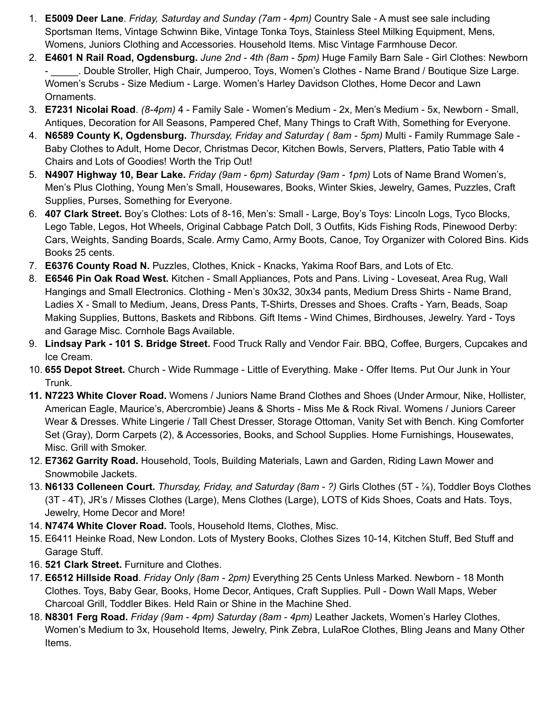- 1. **E5009 Deer Lane**. *Friday, Saturday and Sunday (7am - 4pm)* Country Sale A must see sale including Sportsman Items, Vintage Schwinn Bike, Vintage Tonka Toys, Stainless Steel Milking Equipment, Mens, Womens, Juniors Clothing and Accessories. Household Items. Misc Vintage Farmhouse Decor.
- 2. **E4601 N Rail Road, Ogdensburg.** *June 2nd - 4th (8am - 5pm)* Huge Family Barn Sale Girl Clothes: Newborn - \_\_\_\_\_. Double Stroller, High Chair, Jumperoo, Toys, Women's Clothes - Name Brand / Boutique Size Large. Women's Scrubs - Size Medium - Large. Women's Harley Davidson Clothes, Home Decor and Lawn Ornaments.
- 3. **E7231 Nicolai Road**. *(8-4pm)* 4 Family Sale Women's Medium 2x, Men's Medium 5x, Newborn Small, Antiques, Decoration for All Seasons, Pampered Chef, Many Things to Craft With, Something for Everyone.
- 4. **N6589 County K, Ogdensburg.** *Thursday, Friday and Saturday ( 8am - 5pm)* Multi Family Rummage Sale Baby Clothes to Adult, Home Decor, Christmas Decor, Kitchen Bowls, Servers, Platters, Patio Table with 4 Chairs and Lots of Goodies! Worth the Trip Out!
- 5. **N4907 Highway 10, Bear Lake.** *Friday (9am - 6pm) Saturday (9am - 1pm)* Lots of Name Brand Women's, Men's Plus Clothing, Young Men's Small, Housewares, Books, Winter Skies, Jewelry, Games, Puzzles, Craft Supplies, Purses, Something for Everyone.
- 6. **407 Clark Street.** Boy's Clothes: Lots of 8-16, Men's: Small Large, Boy's Toys: Lincoln Logs, Tyco Blocks, Lego Table, Legos, Hot Wheels, Original Cabbage Patch Doll, 3 Outfits, Kids Fishing Rods, Pinewood Derby: Cars, Weights, Sanding Boards, Scale. Army Camo, Army Boots, Canoe, Toy Organizer with Colored Bins. Kids Books 25 cents.
- 7. **E6376 County Road N.** Puzzles, Clothes, Knick Knacks, Yakima Roof Bars, and Lots of Etc.
- 8. **E6546 Pin Oak Road West.** Kitchen Small Appliances, Pots and Pans. Living Loveseat, Area Rug, Wall Hangings and Small Electronics. Clothing - Men's 30x32, 30x34 pants, Medium Dress Shirts - Name Brand, Ladies X - Small to Medium, Jeans, Dress Pants, T-Shirts, Dresses and Shoes. Crafts - Yarn, Beads, Soap Making Supplies, Buttons, Baskets and Ribbons. Gift Items - Wind Chimes, Birdhouses, Jewelry. Yard - Toys and Garage Misc. Cornhole Bags Available.
- 9. **Lindsay Park - 101 S. Bridge Street.** Food Truck Rally and Vendor Fair. BBQ, Coffee, Burgers, Cupcakes and Ice Cream.
- 10. **655 Depot Street.** Church Wide Rummage Little of Everything. Make Offer Items. Put Our Junk in Your Trunk.
- **11. N7223 White Clover Road.** Womens / Juniors Name Brand Clothes and Shoes (Under Armour, Nike, Hollister, American Eagle, Maurice's, Abercrombie) Jeans & Shorts - Miss Me & Rock Rival. Womens / Juniors Career Wear & Dresses. White Lingerie / Tall Chest Dresser, Storage Ottoman, Vanity Set with Bench. King Comforter Set (Gray), Dorm Carpets (2), & Accessories, Books, and School Supplies. Home Furnishings, Housewates, Misc. Grill with Smoker.
- 12. **E7362 Garrity Road.** Household, Tools, Building Materials, Lawn and Garden, Riding Lawn Mower and Snowmobile Jackets.
- 13. **N6133 Colleneen Court.** *Thursday, Friday, and Saturday (8am - ?)* Girls Clothes (5T ⅞), Toddler Boys Clothes (3T - 4T), JR's / Misses Clothes (Large), Mens Clothes (Large), LOTS of Kids Shoes, Coats and Hats. Toys, Jewelry, Home Decor and More!
- 14. **N7474 White Clover Road.** Tools, Household Items, Clothes, Misc.
- 15. E6411 Heinke Road, New London. Lots of Mystery Books, Clothes Sizes 10-14, Kitchen Stuff, Bed Stuff and Garage Stuff.
- 16. **521 Clark Street.** Furniture and Clothes.
- 17. **E6512 Hillside Road**. *Friday Only (8am - 2pm)* Everything 25 Cents Unless Marked. Newborn 18 Month Clothes. Toys, Baby Gear, Books, Home Decor, Antiques, Craft Supplies. Pull - Down Wall Maps, Weber Charcoal Grill, Toddler Bikes. Held Rain or Shine in the Machine Shed.
- 18. **N8301 Ferg Road.** *Friday (9am - 4pm) Saturday (8am - 4pm)* Leather Jackets, Women's Harley Clothes, Women's Medium to 3x, Household Items, Jewelry, Pink Zebra, LulaRoe Clothes, Bling Jeans and Many Other Items.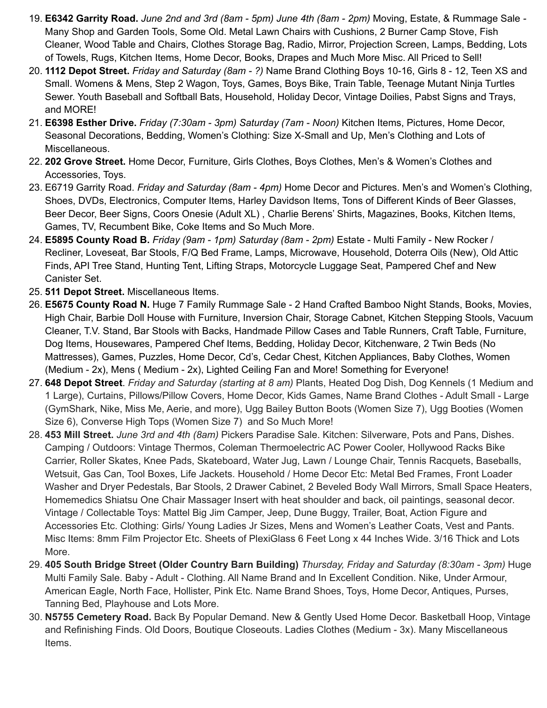- 19. **E6342 Garrity Road.** *June 2nd and 3rd (8am - 5pm) June 4th (8am - 2pm)* Moving, Estate, & Rummage Sale *-* Many Shop and Garden Tools, Some Old. Metal Lawn Chairs with Cushions, 2 Burner Camp Stove, Fish Cleaner, Wood Table and Chairs, Clothes Storage Bag, Radio, Mirror, Projection Screen, Lamps, Bedding, Lots of Towels, Rugs, Kitchen Items, Home Decor, Books, Drapes and Much More Misc. All Priced to Sell!
- 20. **1112 Depot Street.** *Friday and Saturday (8am - ?)* Name Brand Clothing Boys 10-16, Girls 8 12, Teen XS and Small. Womens & Mens, Step 2 Wagon, Toys, Games, Boys Bike, Train Table, Teenage Mutant Ninja Turtles Sewer. Youth Baseball and Softball Bats, Household, Holiday Decor, Vintage Doilies, Pabst Signs and Trays, and MORE!
- 21. **E6398 Esther Drive.** *Friday (7:30am - 3pm) Saturday (7am - Noon)* Kitchen Items, Pictures, Home Decor, Seasonal Decorations, Bedding, Women's Clothing: Size X-Small and Up, Men's Clothing and Lots of Miscellaneous.
- 22. **202 Grove Street.** Home Decor, Furniture, Girls Clothes, Boys Clothes, Men's & Women's Clothes and Accessories, Toys.
- 23. E6719 Garrity Road. *Friday and Saturday (8am - 4pm)* Home Decor and Pictures. Men's and Women's Clothing, Shoes, DVDs, Electronics, Computer Items, Harley Davidson Items, Tons of Different Kinds of Beer Glasses, Beer Decor, Beer Signs, Coors Onesie (Adult XL) , Charlie Berens' Shirts, Magazines, Books, Kitchen Items, Games, TV, Recumbent Bike, Coke Items and So Much More.
- 24. **E5895 County Road B.** *Friday (9am - 1pm) Saturday (8am - 2pm)* Estate Multi Family New Rocker / Recliner, Loveseat, Bar Stools, F/Q Bed Frame, Lamps, Microwave, Household, Doterra Oils (New), Old Attic Finds, API Tree Stand, Hunting Tent, Lifting Straps, Motorcycle Luggage Seat, Pampered Chef and New Canister Set.
- 25. **511 Depot Street.** Miscellaneous Items.
- 26. **E5675 County Road N.** Huge 7 Family Rummage Sale 2 Hand Crafted Bamboo Night Stands, Books, Movies, High Chair, Barbie Doll House with Furniture, Inversion Chair, Storage Cabnet, Kitchen Stepping Stools, Vacuum Cleaner, T.V. Stand, Bar Stools with Backs, Handmade Pillow Cases and Table Runners, Craft Table, Furniture, Dog Items, Housewares, Pampered Chef Items, Bedding, Holiday Decor, Kitchenware, 2 Twin Beds (No Mattresses), Games, Puzzles, Home Decor, Cd's, Cedar Chest, Kitchen Appliances, Baby Clothes, Women (Medium - 2x), Mens ( Medium - 2x), Lighted Ceiling Fan and More! Something for Everyone!
- 27. **648 Depot Street**. *Friday and Saturday (starting at 8 am)* Plants, Heated Dog Dish, Dog Kennels (1 Medium and 1 Large), Curtains, Pillows/Pillow Covers, Home Decor, Kids Games, Name Brand Clothes - Adult Small - Large (GymShark, Nike, Miss Me, Aerie, and more), Ugg Bailey Button Boots (Women Size 7), Ugg Booties (Women Size 6), Converse High Tops (Women Size 7) and So Much More!
- 28. **453 Mill Street.** *June 3rd and 4th (8am)* Pickers Paradise Sale. Kitchen: Silverware, Pots and Pans, Dishes. Camping / Outdoors: Vintage Thermos, Coleman Thermoelectric AC Power Cooler, Hollywood Racks Bike Carrier, Roller Skates, Knee Pads, Skateboard, Water Jug, Lawn / Lounge Chair, Tennis Racquets, Baseballs, Wetsuit, Gas Can, Tool Boxes, Life Jackets. Household / Home Decor Etc: Metal Bed Frames, Front Loader Washer and Dryer Pedestals, Bar Stools, 2 Drawer Cabinet, 2 Beveled Body Wall Mirrors, Small Space Heaters, Homemedics Shiatsu One Chair Massager Insert with heat shoulder and back, oil paintings, seasonal decor. Vintage / Collectable Toys: Mattel Big Jim Camper, Jeep, Dune Buggy, Trailer, Boat, Action Figure and Accessories Etc. Clothing: Girls/ Young Ladies Jr Sizes, Mens and Women's Leather Coats, Vest and Pants. Misc Items: 8mm Film Projector Etc. Sheets of PlexiGlass 6 Feet Long x 44 Inches Wide. 3/16 Thick and Lots More.
- 29. **405 South Bridge Street (Older Country Barn Building)** *Thursday, Friday and Saturday (8:30am - 3pm)* Huge Multi Family Sale. Baby - Adult - Clothing. All Name Brand and In Excellent Condition. Nike, Under Armour, American Eagle, North Face, Hollister, Pink Etc. Name Brand Shoes, Toys, Home Decor, Antiques, Purses, Tanning Bed, Playhouse and Lots More.
- 30. **N5755 Cemetery Road.** Back By Popular Demand. New & Gently Used Home Decor. Basketball Hoop, Vintage and Refinishing Finds. Old Doors, Boutique Closeouts. Ladies Clothes (Medium - 3x). Many Miscellaneous Items.